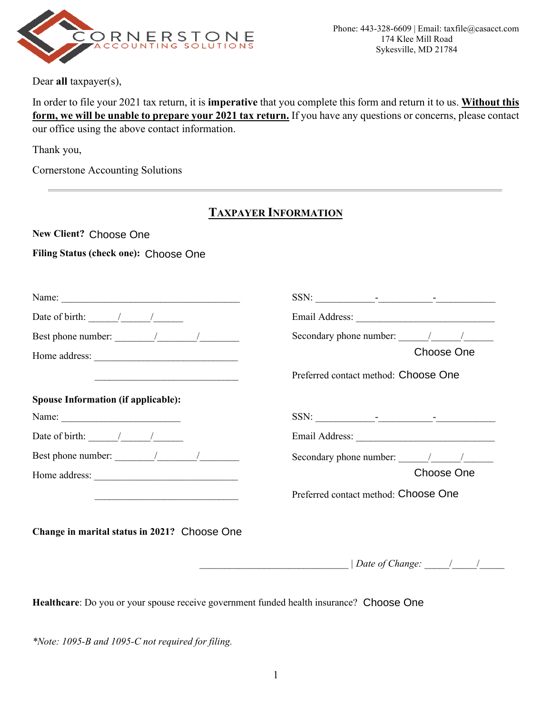

Dear **all** taxpayer(s),

In order to file your 2021 tax return, it is **imperative** that you complete this form and return it to us. **Without this form, we will be unable to prepare your 2021 tax return.** If you have any questions or concerns, please contact our office using the above contact information.

Thank you,

Cornerstone Accounting Solutions

## **TAXPAYER INFORMATION**

New Client? Choose One

# New Client? Choose One<br>Filing Status (check one): Choose One

|                                                                                                                                                                                                                                                                                                                                                                                                               | SSN: $\qquad \qquad \qquad$                                                                                                                                                                                                                                                                                                                                                                               |  |
|---------------------------------------------------------------------------------------------------------------------------------------------------------------------------------------------------------------------------------------------------------------------------------------------------------------------------------------------------------------------------------------------------------------|-----------------------------------------------------------------------------------------------------------------------------------------------------------------------------------------------------------------------------------------------------------------------------------------------------------------------------------------------------------------------------------------------------------|--|
| Date of birth: $\frac{1}{\sqrt{2\pi}}$                                                                                                                                                                                                                                                                                                                                                                        |                                                                                                                                                                                                                                                                                                                                                                                                           |  |
| Best phone number: $\frac{1}{\sqrt{1-\frac{1}{2}}}\frac{1}{\sqrt{1-\frac{1}{2}}}\frac{1}{\sqrt{1-\frac{1}{2}}}\frac{1}{\sqrt{1-\frac{1}{2}}}\frac{1}{\sqrt{1-\frac{1}{2}}}\frac{1}{\sqrt{1-\frac{1}{2}}}\frac{1}{\sqrt{1-\frac{1}{2}}}\frac{1}{\sqrt{1-\frac{1}{2}}}\frac{1}{\sqrt{1-\frac{1}{2}}}\frac{1}{\sqrt{1-\frac{1}{2}}}\frac{1}{\sqrt{1-\frac{1}{2}}}\frac{1}{\sqrt{1-\frac{1}{2}}}\frac{1}{\sqrt{1$ | Secondary phone number: $\frac{1}{\sqrt{1-\frac{1}{2}}}\frac{1}{\sqrt{1-\frac{1}{2}}}\frac{1}{\sqrt{1-\frac{1}{2}}}\frac{1}{\sqrt{1-\frac{1}{2}}}\frac{1}{\sqrt{1-\frac{1}{2}}}\frac{1}{\sqrt{1-\frac{1}{2}}}\frac{1}{\sqrt{1-\frac{1}{2}}}\frac{1}{\sqrt{1-\frac{1}{2}}}\frac{1}{\sqrt{1-\frac{1}{2}}}\frac{1}{\sqrt{1-\frac{1}{2}}}\frac{1}{\sqrt{1-\frac{1}{2}}}\frac{1}{\sqrt{1-\frac{1}{2}}}\frac{1$ |  |
|                                                                                                                                                                                                                                                                                                                                                                                                               | Choose One                                                                                                                                                                                                                                                                                                                                                                                                |  |
|                                                                                                                                                                                                                                                                                                                                                                                                               | Preferred contact method: Choose One                                                                                                                                                                                                                                                                                                                                                                      |  |
| <b>Spouse Information (if applicable):</b>                                                                                                                                                                                                                                                                                                                                                                    |                                                                                                                                                                                                                                                                                                                                                                                                           |  |
|                                                                                                                                                                                                                                                                                                                                                                                                               | SSN:                                                                                                                                                                                                                                                                                                                                                                                                      |  |
| Date of birth: / /                                                                                                                                                                                                                                                                                                                                                                                            | Email Address: 2008                                                                                                                                                                                                                                                                                                                                                                                       |  |
| Best phone number: $\frac{1}{\frac{1}{2} \cdot 1}$                                                                                                                                                                                                                                                                                                                                                            | Secondary phone number: $\frac{1}{\sqrt{1-\frac{1}{2}}}\frac{1}{\sqrt{1-\frac{1}{2}}}\frac{1}{\sqrt{1-\frac{1}{2}}}\frac{1}{\sqrt{1-\frac{1}{2}}}\frac{1}{\sqrt{1-\frac{1}{2}}}\frac{1}{\sqrt{1-\frac{1}{2}}}\frac{1}{\sqrt{1-\frac{1}{2}}}\frac{1}{\sqrt{1-\frac{1}{2}}}\frac{1}{\sqrt{1-\frac{1}{2}}}\frac{1}{\sqrt{1-\frac{1}{2}}}\frac{1}{\sqrt{1-\frac{1}{2}}}\frac{1}{\sqrt{1-\frac{1}{2}}}\frac{1$ |  |
| Home address:                                                                                                                                                                                                                                                                                                                                                                                                 | Choose One                                                                                                                                                                                                                                                                                                                                                                                                |  |
|                                                                                                                                                                                                                                                                                                                                                                                                               | Preferred contact method: Choose One                                                                                                                                                                                                                                                                                                                                                                      |  |
|                                                                                                                                                                                                                                                                                                                                                                                                               |                                                                                                                                                                                                                                                                                                                                                                                                           |  |

Change in marital status in 2021? Choose One

 $|$  Date of Change:  $|$   $|$ 

Healthcare: Do you or your spouse receive government funded health insurance? Choose One

*\*Note: 1095-B and 1095-C not required for filing.*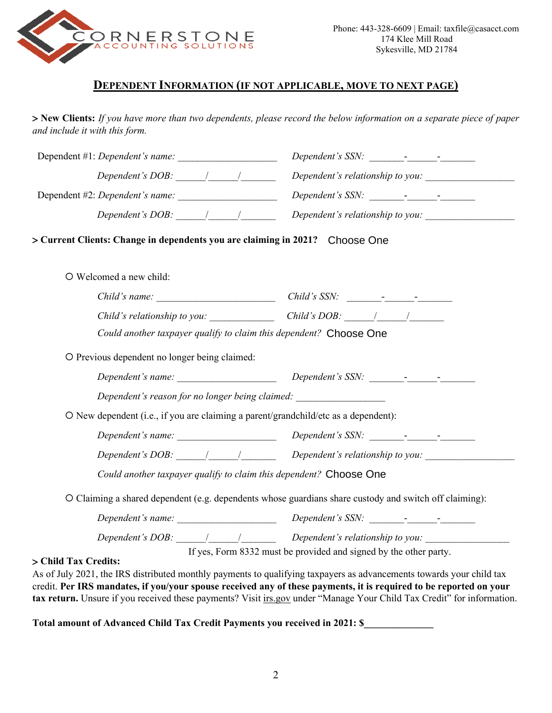

### **DEPENDENT INFORMATION (IF NOT APPLICABLE, MOVE TO NEXT PAGE)**

> **New Clients:** *If you have more than two dependents, please record the below information on a separate piece of paper and include it with this form.*

| > Current Clients: Change in dependents you are claiming in 2021? Choose One                           |  |
|--------------------------------------------------------------------------------------------------------|--|
|                                                                                                        |  |
|                                                                                                        |  |
| Child's relationship to you: Child's DOB: $\frac{1}{\sqrt{2}}$                                         |  |
| Could another taxpayer qualify to claim this dependent? Choose One                                     |  |
|                                                                                                        |  |
| Dependent's reason for no longer being claimed: _________________________________                      |  |
| O New dependent (i.e., if you are claiming a parent/grandchild/etc as a dependent):                    |  |
|                                                                                                        |  |
| Dependent's DOB: $\frac{1}{\sqrt{2\pi}}$ Dependent's relationship to you:                              |  |
| Could another taxpayer qualify to claim this dependent? Choose One                                     |  |
| O Claiming a shared dependent (e.g. dependents whose guardians share custody and switch off claiming): |  |
|                                                                                                        |  |
| Dependent's DOB: $\frac{1}{\sqrt{2}}$ Dependent's relationship to you:                                 |  |
|                                                                                                        |  |

**Total amount of Advanced Child Tax Credit Payments you received in 2021: \$\_\_\_\_\_\_\_\_\_\_\_\_\_\_** 

tax return. Unsure if you received these payments? Visit irs.gov under "Manage Your Child Tax Credit" for information.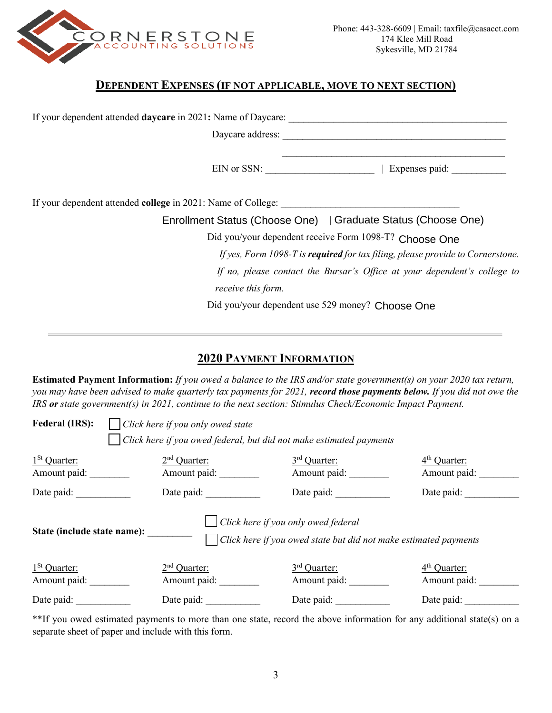

### **DEPENDENT EXPENSES (IF NOT APPLICABLE, MOVE TO NEXT SECTION)**

| Expenses paid:<br>$EIN$ or SSN:                                                |  |  |  |
|--------------------------------------------------------------------------------|--|--|--|
|                                                                                |  |  |  |
| Enrollment Status (Choose One)   Graduate Status (Choose One)                  |  |  |  |
| Did you/your dependent receive Form 1098-T? Choose One                         |  |  |  |
| If yes, Form 1098-T is required for tax filing, please provide to Cornerstone. |  |  |  |
| If no, please contact the Bursar's Office at your dependent's college to       |  |  |  |
| receive this form.                                                             |  |  |  |
| Did you/your dependent use 529 money? Choose One                               |  |  |  |

## **2020 PAYMENT INFORMATION**

**Estimated Payment Information:** *If you owed a balance to the IRS and/or state government(s) on your 2020 tax return, you may have been advised to make quarterly tax payments for 2021, record those payments below. If you did not owe the IRS or state government(s) in 2021, continue to the next section: Stimulus Check/Economic Impact Payment.*

| <b>Federal (IRS):</b><br>Click here if you only owed state          |                                                                                                                |                |                |  |  |  |
|---------------------------------------------------------------------|----------------------------------------------------------------------------------------------------------------|----------------|----------------|--|--|--|
| Click here if you owed federal, but did not make estimated payments |                                                                                                                |                |                |  |  |  |
| $1St$ Quarter:                                                      | $2nd$ Quarter:                                                                                                 | $3rd$ Quarter: | $4th$ Quarter: |  |  |  |
| Amount paid:                                                        | Amount paid:                                                                                                   | Amount paid:   | Amount paid:   |  |  |  |
| Date paid:                                                          | Date paid:                                                                                                     | Date paid:     | Date paid:     |  |  |  |
| State (include state name):                                         | $\Box$ Click here if you only owed federal<br>Click here if you owed state but did not make estimated payments |                |                |  |  |  |
| $1St$ Quarter:                                                      | $2nd$ Quarter:                                                                                                 | $3rd$ Quarter: | $4th$ Quarter: |  |  |  |
| Amount paid:                                                        | Amount paid:                                                                                                   | Amount paid:   | Amount paid:   |  |  |  |
| Date paid:                                                          | Date paid:                                                                                                     | Date paid:     | Date paid:     |  |  |  |

\*\*If you owed estimated payments to more than one state, record the above information for any additional state(s) on a separate sheet of paper and include with this form.